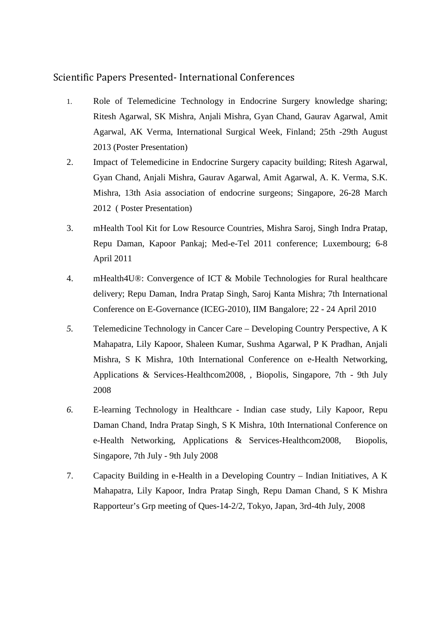## Scientific Papers Presented- International Conferences

- 1. Role of Telemedicine Technology in Endocrine Surgery knowledge sharing; Ritesh Agarwal, SK Mishra, Anjali Mishra, Gyan Chand, Gaurav Agarwal, Amit Agarwal, AK Verma, International Surgical Week, Finland; 25th -29th August 2013 (Poster Presentation)
- 2. Impact of Telemedicine in Endocrine Surgery capacity building; Ritesh Agarwal, Gyan Chand, Anjali Mishra, Gaurav Agarwal, Amit Agarwal, A. K. Verma, S.K. Mishra, 13th Asia association of endocrine surgeons; Singapore, 26-28 March 2012 ( Poster Presentation)
- 3. mHealth Tool Kit for Low Resource Countries, Mishra Saroj, Singh Indra Pratap, Repu Daman, Kapoor Pankaj; Med-e-Tel 2011 conference; Luxembourg; 6-8 April 2011
- 4. mHealth4U®: Convergence of ICT & Mobile Technologies for Rural healthcare delivery; Repu Daman, Indra Pratap Singh, Saroj Kanta Mishra; 7th International Conference on E-Governance (ICEG-2010), IIM Bangalore; 22 - 24 April 2010
- *5.* Telemedicine Technology in Cancer Care Developing Country Perspective, A K Mahapatra, Lily Kapoor, Shaleen Kumar, Sushma Agarwal, P K Pradhan, Anjali Mishra, S K Mishra, 10th International Conference on e-Health Networking, Applications & Services-Healthcom2008, , Biopolis, Singapore, 7th - 9th July 2008
- *6.* E-learning Technology in Healthcare Indian case study, Lily Kapoor, Repu Daman Chand, Indra Pratap Singh, S K Mishra, 10th International Conference on e-Health Networking, Applications & Services-Healthcom2008, Biopolis, Singapore, 7th July - 9th July 2008
- 7. Capacity Building in e-Health in a Developing Country Indian Initiatives, A K Mahapatra, Lily Kapoor, Indra Pratap Singh, Repu Daman Chand, S K Mishra Rapporteur's Grp meeting of Ques-14-2/2, Tokyo, Japan, 3rd-4th July, 2008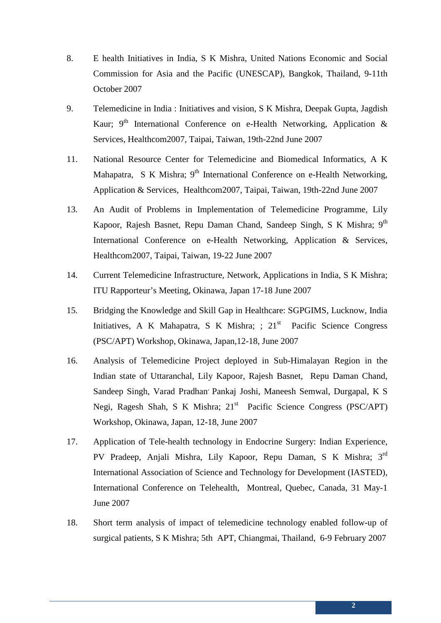- 8. E health Initiatives in India, S K Mishra, United Nations Economic and Social Commission for Asia and the Pacific (UNESCAP), Bangkok, Thailand, 9-11th October 2007
- 9. Telemedicine in India : Initiatives and vision, S K Mishra, Deepak Gupta, Jagdish Kaur;  $9<sup>th</sup>$  International Conference on e-Health Networking, Application & Services, Healthcom2007, Taipai, Taiwan, 19th-22nd June 2007
- 11. National Resource Center for Telemedicine and Biomedical Informatics, A K Mahapatra, S K Mishra; 9<sup>th</sup> International Conference on e-Health Networking, Application & Services, Healthcom2007, Taipai, Taiwan, 19th-22nd June 2007
- 13. An Audit of Problems in Implementation of Telemedicine Programme, Lily Kapoor, Rajesh Basnet, Repu Daman Chand, Sandeep Singh, S K Mishra; 9<sup>th</sup> International Conference on e-Health Networking, Application & Services, Healthcom2007, Taipai, Taiwan, 19-22 June 2007
- 14. Current Telemedicine Infrastructure, Network, Applications in India, S K Mishra; ITU Rapporteur's Meeting, Okinawa, Japan 17-18 June 2007
- 15. Bridging the Knowledge and Skill Gap in Healthcare: SGPGIMS, Lucknow, India Initiatives, A K Mahapatra, S K Mishra; ; 21<sup>st</sup> Pacific Science Congress (PSC/APT) Workshop, Okinawa, Japan,12-18, June 2007
- 16. Analysis of Telemedicine Project deployed in Sub-Himalayan Region in the Indian state of Uttaranchal, Lily Kapoor, Rajesh Basnet, Repu Daman Chand, Sandeep Singh, Varad Pradhan<sup>,</sup> Pankaj Joshi, Maneesh Semwal, Durgapal, K S Negi, Ragesh Shah, S K Mishra; 21<sup>st</sup> Pacific Science Congress (PSC/APT) Workshop, Okinawa, Japan, 12-18, June 2007
- 17. Application of Tele-health technology in Endocrine Surgery: Indian Experience, PV Pradeep, Anjali Mishra, Lily Kapoor, Repu Daman, S K Mishra; 3rd International Association of Science and Technology for Development (IASTED), International Conference on Telehealth, Montreal, Quebec, Canada, 31 May-1 June 2007
- 18. Short term analysis of impact of telemedicine technology enabled follow-up of surgical patients, S K Mishra; 5th APT, Chiangmai, Thailand, 6-9 February 2007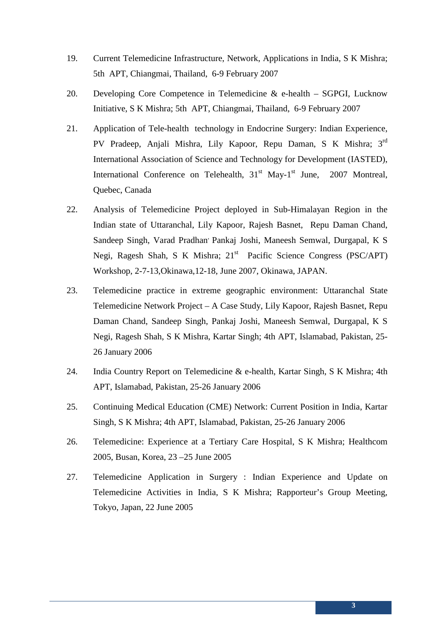- 19. Current Telemedicine Infrastructure, Network, Applications in India, S K Mishra; 5th APT, Chiangmai, Thailand, 6-9 February 2007
- 20. Developing Core Competence in Telemedicine & e-health SGPGI, Lucknow Initiative, S K Mishra; 5th APT, Chiangmai, Thailand, 6-9 February 2007
- 21. Application of Tele-health technology in Endocrine Surgery: Indian Experience, PV Pradeep, Anjali Mishra, Lily Kapoor, Repu Daman, S K Mishra; 3rd International Association of Science and Technology for Development (IASTED), International Conference on Telehealth,  $31<sup>st</sup>$  May-1<sup>st</sup> June, 2007 Montreal, Quebec, Canada
- 22. Analysis of Telemedicine Project deployed in Sub-Himalayan Region in the Indian state of Uttaranchal, Lily Kapoor, Rajesh Basnet, Repu Daman Chand, Sandeep Singh, Varad Pradhan, Pankaj Joshi, Maneesh Semwal, Durgapal, K S Negi, Ragesh Shah, S K Mishra; 21<sup>st</sup> Pacific Science Congress (PSC/APT) Workshop, 2-7-13,Okinawa,12-18, June 2007, Okinawa, JAPAN.
- 23. Telemedicine practice in extreme geographic environment: Uttaranchal State Telemedicine Network Project – A Case Study, Lily Kapoor, Rajesh Basnet, Repu Daman Chand, Sandeep Singh, Pankaj Joshi, Maneesh Semwal, Durgapal, K S Negi, Ragesh Shah, S K Mishra, Kartar Singh; 4th APT, Islamabad, Pakistan, 25- 26 January 2006
- 24. India Country Report on Telemedicine & e-health, Kartar Singh, S K Mishra; 4th APT, Islamabad, Pakistan, 25-26 January 2006
- 25. Continuing Medical Education (CME) Network: Current Position in India, Kartar Singh, S K Mishra; 4th APT, Islamabad, Pakistan, 25-26 January 2006
- 26. Telemedicine: Experience at a Tertiary Care Hospital, S K Mishra; Healthcom 2005, Busan, Korea, 23 –25 June 2005
- 27. Telemedicine Application in Surgery : Indian Experience and Update on Telemedicine Activities in India, S K Mishra; Rapporteur's Group Meeting, Tokyo, Japan, 22 June 2005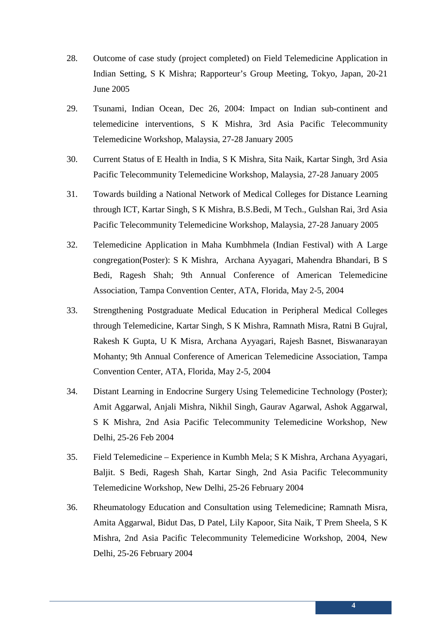- 28. Outcome of case study (project completed) on Field Telemedicine Application in Indian Setting, S K Mishra; Rapporteur's Group Meeting, Tokyo, Japan, 20-21 June 2005
- 29. Tsunami, Indian Ocean, Dec 26, 2004: Impact on Indian sub-continent and telemedicine interventions, S K Mishra, 3rd Asia Pacific Telecommunity Telemedicine Workshop, Malaysia, 27-28 January 2005
- 30. Current Status of E Health in India, S K Mishra, Sita Naik, Kartar Singh, 3rd Asia Pacific Telecommunity Telemedicine Workshop, Malaysia, 27-28 January 2005
- 31. Towards building a National Network of Medical Colleges for Distance Learning through ICT, Kartar Singh, S K Mishra, B.S.Bedi, M Tech., Gulshan Rai, 3rd Asia Pacific Telecommunity Telemedicine Workshop, Malaysia, 27-28 January 2005
- 32. Telemedicine Application in Maha Kumbhmela (Indian Festival) with A Large congregation(Poster): S K Mishra, Archana Ayyagari, Mahendra Bhandari, B S Bedi, Ragesh Shah; 9th Annual Conference of American Telemedicine Association, Tampa Convention Center, ATA, Florida, May 2-5, 2004
- 33. Strengthening Postgraduate Medical Education in Peripheral Medical Colleges through Telemedicine, Kartar Singh, S K Mishra, Ramnath Misra, Ratni B Gujral, Rakesh K Gupta, U K Misra, Archana Ayyagari, Rajesh Basnet, Biswanarayan Mohanty; 9th Annual Conference of American Telemedicine Association, Tampa Convention Center, ATA, Florida, May 2-5, 2004
- 34. Distant Learning in Endocrine Surgery Using Telemedicine Technology (Poster); Amit Aggarwal, Anjali Mishra, Nikhil Singh, Gaurav Agarwal, Ashok Aggarwal, S K Mishra, 2nd Asia Pacific Telecommunity Telemedicine Workshop, New Delhi, 25-26 Feb 2004
- 35. Field Telemedicine Experience in Kumbh Mela; S K Mishra, Archana Ayyagari, Baljit. S Bedi, Ragesh Shah, Kartar Singh, 2nd Asia Pacific Telecommunity Telemedicine Workshop, New Delhi, 25-26 February 2004
- 36. Rheumatology Education and Consultation using Telemedicine; Ramnath Misra, Amita Aggarwal, Bidut Das, D Patel, Lily Kapoor, Sita Naik, T Prem Sheela, S K Mishra, 2nd Asia Pacific Telecommunity Telemedicine Workshop, 2004, New Delhi, 25-26 February 2004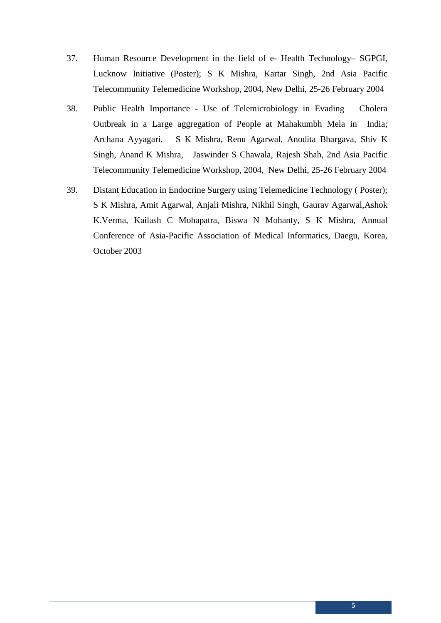- 37. Human Resource Development in the field of e- Health Technology– SGPGI, Lucknow Initiative (Poster); S K Mishra, Kartar Singh, 2nd Asia Pacific Telecommunity Telemedicine Workshop, 2004, New Delhi, 25-26 February 2004
- 38. Public Health Importance Use of Telemicrobiology in Evading Cholera Outbreak in a Large aggregation of People at Mahakumbh Mela in India; Archana Ayyagari, S K Mishra, Renu Agarwal, Anodita Bhargava, Shiv K Singh, Anand K Mishra, Jaswinder S Chawala, Rajesh Shah, 2nd Asia Pacific Telecommunity Telemedicine Workshop, 2004, New Delhi, 25-26 February 2004
- 39. Distant Education in Endocrine Surgery using Telemedicine Technology ( Poster); S K Mishra, Amit Agarwal, Anjali Mishra, Nikhil Singh, Gaurav Agarwal,Ashok K.Verma, Kailash C Mohapatra, Biswa N Mohanty, S K Mishra, Annual Conference of Asia-Pacific Association of Medical Informatics, Daegu, Korea, October 2003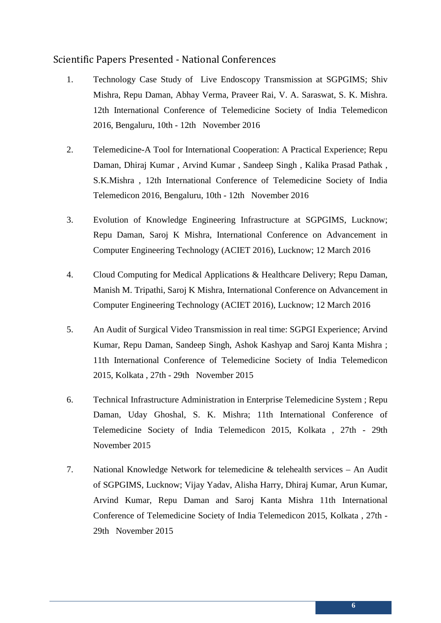## Scientific Papers Presented - National Conferences

- 1. Technology Case Study of Live Endoscopy Transmission at SGPGIMS; Shiv Mishra, Repu Daman, Abhay Verma, Praveer Rai, V. A. Saraswat, S. K. Mishra. 12th International Conference of Telemedicine Society of India Telemedicon 2016, Bengaluru, 10th - 12th November 2016
- 2. Telemedicine-A Tool for International Cooperation: A Practical Experience; Repu Daman, Dhiraj Kumar , Arvind Kumar , Sandeep Singh , Kalika Prasad Pathak , S.K.Mishra , 12th International Conference of Telemedicine Society of India Telemedicon 2016, Bengaluru, 10th - 12th November 2016
- 3. Evolution of Knowledge Engineering Infrastructure at SGPGIMS, Lucknow; Repu Daman, Saroj K Mishra, International Conference on Advancement in Computer Engineering Technology (ACIET 2016), Lucknow; 12 March 2016
- 4. Cloud Computing for Medical Applications & Healthcare Delivery; Repu Daman, Manish M. Tripathi, Saroj K Mishra, International Conference on Advancement in Computer Engineering Technology (ACIET 2016), Lucknow; 12 March 2016
- 5. An Audit of Surgical Video Transmission in real time: SGPGI Experience; Arvind Kumar, Repu Daman, Sandeep Singh, Ashok Kashyap and Saroj Kanta Mishra ; 11th International Conference of Telemedicine Society of India Telemedicon 2015, Kolkata , 27th - 29th November 2015
- 6. Technical Infrastructure Administration in Enterprise Telemedicine System ; Repu Daman, Uday Ghoshal, S. K. Mishra; 11th International Conference of Telemedicine Society of India Telemedicon 2015, Kolkata , 27th - 29th November 2015
- 7. National Knowledge Network for telemedicine & telehealth services An Audit of SGPGIMS, Lucknow; Vijay Yadav, Alisha Harry, Dhiraj Kumar, Arun Kumar, Arvind Kumar, Repu Daman and Saroj Kanta Mishra 11th International Conference of Telemedicine Society of India Telemedicon 2015, Kolkata , 27th - 29th November 2015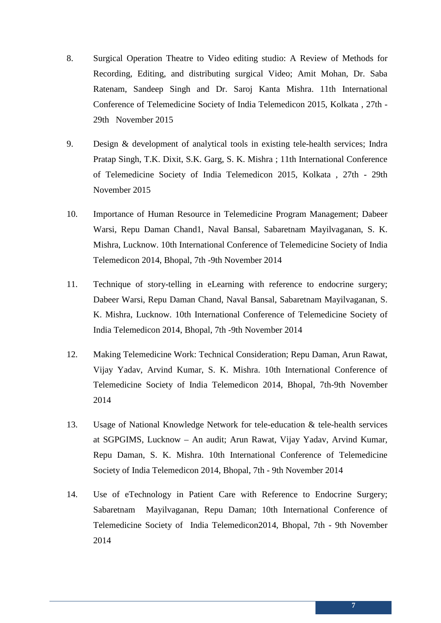- 8. Surgical Operation Theatre to Video editing studio: A Review of Methods for Recording, Editing, and distributing surgical Video; Amit Mohan, Dr. Saba Ratenam, Sandeep Singh and Dr. Saroj Kanta Mishra. 11th International Conference of Telemedicine Society of India Telemedicon 2015, Kolkata , 27th - 29th November 2015
- 9. Design & development of analytical tools in existing tele-health services; Indra Pratap Singh, T.K. Dixit, S.K. Garg, S. K. Mishra ; 11th International Conference of Telemedicine Society of India Telemedicon 2015, Kolkata , 27th - 29th November 2015
- 10. Importance of Human Resource in Telemedicine Program Management; Dabeer Warsi, Repu Daman Chand1, Naval Bansal, Sabaretnam Mayilvaganan, S. K. Mishra, Lucknow. 10th International Conference of Telemedicine Society of India Telemedicon 2014, Bhopal, 7th -9th November 2014
- 11. Technique of story-telling in eLearning with reference to endocrine surgery; Dabeer Warsi, Repu Daman Chand, Naval Bansal, Sabaretnam Mayilvaganan, S. K. Mishra, Lucknow. 10th International Conference of Telemedicine Society of India Telemedicon 2014, Bhopal, 7th -9th November 2014
- 12. Making Telemedicine Work: Technical Consideration; Repu Daman, Arun Rawat, Vijay Yadav, Arvind Kumar, S. K. Mishra. 10th International Conference of Telemedicine Society of India Telemedicon 2014, Bhopal, 7th-9th November 2014
- 13. Usage of National Knowledge Network for tele-education & tele-health services at SGPGIMS, Lucknow – An audit; Arun Rawat, Vijay Yadav, Arvind Kumar, Repu Daman, S. K. Mishra. 10th International Conference of Telemedicine Society of India Telemedicon 2014, Bhopal, 7th - 9th November 2014
- 14. Use of eTechnology in Patient Care with Reference to Endocrine Surgery; Sabaretnam Mayilvaganan, Repu Daman; 10th International Conference of Telemedicine Society of India Telemedicon2014, Bhopal, 7th - 9th November 2014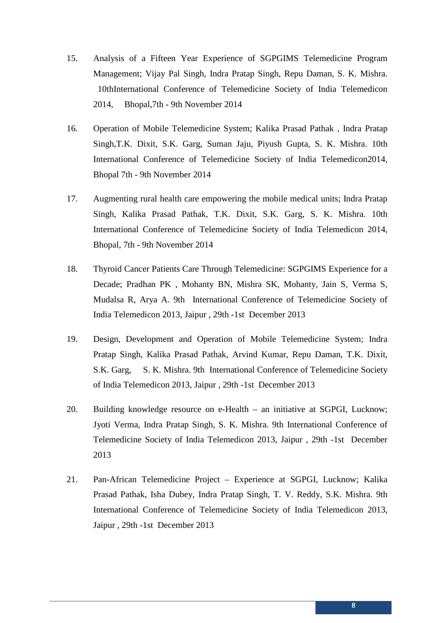- 15. Analysis of a Fifteen Year Experience of SGPGIMS Telemedicine Program Management; Vijay Pal Singh, Indra Pratap Singh, Repu Daman, S. K. Mishra. 10thInternational Conference of Telemedicine Society of India Telemedicon 2014, Bhopal,7th - 9th November 2014
- 16. Operation of Mobile Telemedicine System; Kalika Prasad Pathak , Indra Pratap Singh,T.K. Dixit, S.K. Garg, Suman Jaju, Piyush Gupta, S. K. Mishra. 10th International Conference of Telemedicine Society of India Telemedicon2014, Bhopal 7th - 9th November 2014
- 17. Augmenting rural health care empowering the mobile medical units; Indra Pratap Singh, Kalika Prasad Pathak, T.K. Dixit, S.K. Garg, S. K. Mishra. 10th International Conference of Telemedicine Society of India Telemedicon 2014, Bhopal, 7th - 9th November 2014
- 18. Thyroid Cancer Patients Care Through Telemedicine: SGPGIMS Experience for a Decade; Pradhan PK , Mohanty BN, Mishra SK, Mohanty, Jain S, Verma S, Mudalsa R, Arya A. 9th International Conference of Telemedicine Society of India Telemedicon 2013, Jaipur , 29th -1st December 2013
- 19. Design, Development and Operation of Mobile Telemedicine System; Indra Pratap Singh, Kalika Prasad Pathak, Arvind Kumar, Repu Daman, T.K. Dixit, S.K. Garg, S. K. Mishra. 9th International Conference of Telemedicine Society of India Telemedicon 2013, Jaipur , 29th -1st December 2013
- 20. Building knowledge resource on e-Health an initiative at SGPGI, Lucknow; Jyoti Verma, Indra Pratap Singh, S. K. Mishra. 9th International Conference of Telemedicine Society of India Telemedicon 2013, Jaipur , 29th -1st December 2013
- 21. Pan-African Telemedicine Project Experience at SGPGI, Lucknow; Kalika Prasad Pathak, Isha Dubey, Indra Pratap Singh, T. V. Reddy, S.K. Mishra. 9th International Conference of Telemedicine Society of India Telemedicon 2013, Jaipur , 29th -1st December 2013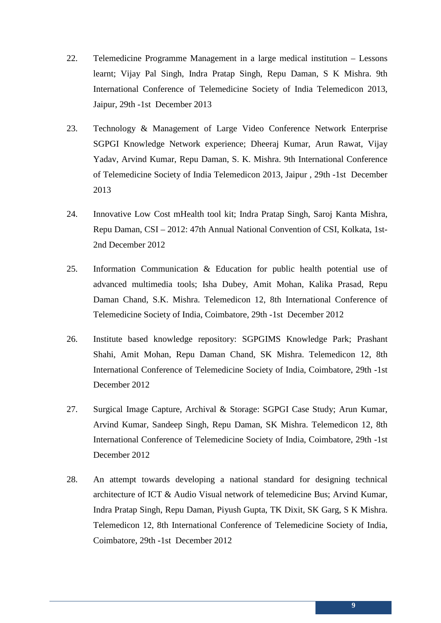- 22. Telemedicine Programme Management in a large medical institution Lessons learnt; Vijay Pal Singh, Indra Pratap Singh, Repu Daman, S K Mishra. 9th International Conference of Telemedicine Society of India Telemedicon 2013, Jaipur, 29th -1st December 2013
- 23. Technology & Management of Large Video Conference Network Enterprise SGPGI Knowledge Network experience; Dheeraj Kumar, Arun Rawat, Vijay Yadav, Arvind Kumar, Repu Daman, S. K. Mishra. 9th International Conference of Telemedicine Society of India Telemedicon 2013, Jaipur , 29th -1st December 2013
- 24. Innovative Low Cost mHealth tool kit; Indra Pratap Singh, Saroj Kanta Mishra, Repu Daman, CSI – 2012: 47th Annual National Convention of CSI, Kolkata, 1st-2nd December 2012
- 25. Information Communication & Education for public health potential use of advanced multimedia tools; Isha Dubey, Amit Mohan, Kalika Prasad, Repu Daman Chand, S.K. Mishra. Telemedicon 12, 8th International Conference of Telemedicine Society of India, Coimbatore, 29th -1st December 2012
- 26. Institute based knowledge repository: SGPGIMS Knowledge Park; Prashant Shahi, Amit Mohan, Repu Daman Chand, SK Mishra. Telemedicon 12, 8th International Conference of Telemedicine Society of India, Coimbatore, 29th -1st December 2012
- 27. Surgical Image Capture, Archival & Storage: SGPGI Case Study; Arun Kumar, Arvind Kumar, Sandeep Singh, Repu Daman, SK Mishra. Telemedicon 12, 8th International Conference of Telemedicine Society of India, Coimbatore, 29th -1st December 2012
- 28. An attempt towards developing a national standard for designing technical architecture of ICT & Audio Visual network of telemedicine Bus; Arvind Kumar, Indra Pratap Singh, Repu Daman, Piyush Gupta, TK Dixit, SK Garg, S K Mishra. Telemedicon 12, 8th International Conference of Telemedicine Society of India, Coimbatore, 29th -1st December 2012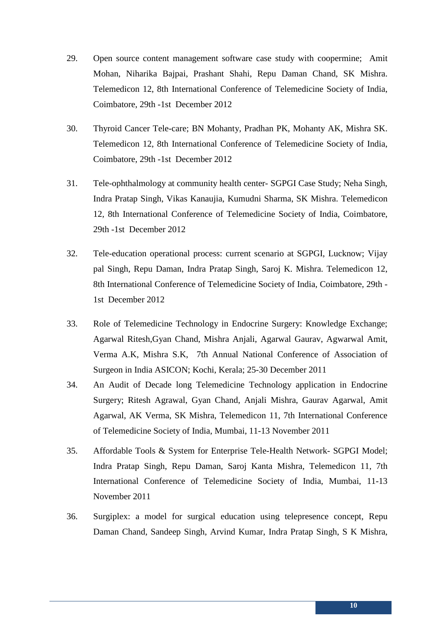- 29. Open source content management software case study with coopermine; Amit Mohan, Niharika Bajpai, Prashant Shahi, Repu Daman Chand, SK Mishra. Telemedicon 12, 8th International Conference of Telemedicine Society of India, Coimbatore, 29th -1st December 2012
- 30. Thyroid Cancer Tele-care; BN Mohanty, Pradhan PK, Mohanty AK, Mishra SK. Telemedicon 12, 8th International Conference of Telemedicine Society of India, Coimbatore, 29th -1st December 2012
- 31. Tele-ophthalmology at community health center- SGPGI Case Study; Neha Singh, Indra Pratap Singh, Vikas Kanaujia, Kumudni Sharma, SK Mishra. Telemedicon 12, 8th International Conference of Telemedicine Society of India, Coimbatore, 29th -1st December 2012
- 32. Tele-education operational process: current scenario at SGPGI, Lucknow; Vijay pal Singh, Repu Daman, Indra Pratap Singh, Saroj K. Mishra. Telemedicon 12, 8th International Conference of Telemedicine Society of India, Coimbatore, 29th - 1st December 2012
- 33. Role of Telemedicine Technology in Endocrine Surgery: Knowledge Exchange; Agarwal Ritesh,Gyan Chand, Mishra Anjali, Agarwal Gaurav, Agwarwal Amit, Verma A.K, Mishra S.K, 7th Annual National Conference of Association of Surgeon in India ASICON; Kochi, Kerala; 25-30 December 2011
- 34. An Audit of Decade long Telemedicine Technology application in Endocrine Surgery; Ritesh Agrawal, Gyan Chand, Anjali Mishra, Gaurav Agarwal, Amit Agarwal, AK Verma, SK Mishra, Telemedicon 11, 7th International Conference of Telemedicine Society of India, Mumbai, 11-13 November 2011
- 35. Affordable Tools & System for Enterprise Tele-Health Network- SGPGI Model; Indra Pratap Singh, Repu Daman, Saroj Kanta Mishra, Telemedicon 11, 7th International Conference of Telemedicine Society of India, Mumbai, 11-13 November 2011
- 36. Surgiplex: a model for surgical education using telepresence concept, Repu Daman Chand, Sandeep Singh, Arvind Kumar, Indra Pratap Singh, S K Mishra,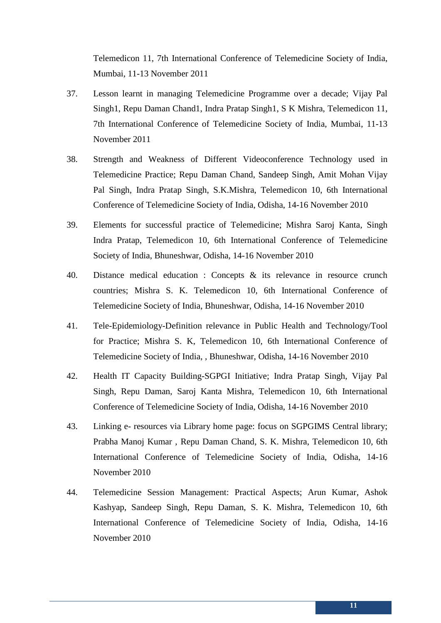Telemedicon 11, 7th International Conference of Telemedicine Society of India, Mumbai, 11-13 November 2011

- 37. Lesson learnt in managing Telemedicine Programme over a decade; Vijay Pal Singh1, Repu Daman Chand1, Indra Pratap Singh1, S K Mishra, Telemedicon 11, 7th International Conference of Telemedicine Society of India, Mumbai, 11-13 November 2011
- 38. Strength and Weakness of Different Videoconference Technology used in Telemedicine Practice; Repu Daman Chand, Sandeep Singh, Amit Mohan Vijay Pal Singh, Indra Pratap Singh, S.K.Mishra, Telemedicon 10, 6th International Conference of Telemedicine Society of India, Odisha, 14-16 November 2010
- 39. Elements for successful practice of Telemedicine; Mishra Saroj Kanta, Singh Indra Pratap, Telemedicon 10, 6th International Conference of Telemedicine Society of India, Bhuneshwar, Odisha, 14-16 November 2010
- 40. Distance medical education : Concepts & its relevance in resource crunch countries; Mishra S. K. Telemedicon 10, 6th International Conference of Telemedicine Society of India, Bhuneshwar, Odisha, 14-16 November 2010
- 41. Tele-Epidemiology-Definition relevance in Public Health and Technology/Tool for Practice; Mishra S. K, Telemedicon 10, 6th International Conference of Telemedicine Society of India, , Bhuneshwar, Odisha, 14-16 November 2010
- 42. Health IT Capacity Building-SGPGI Initiative; Indra Pratap Singh, Vijay Pal Singh, Repu Daman, Saroj Kanta Mishra, Telemedicon 10, 6th International Conference of Telemedicine Society of India, Odisha, 14-16 November 2010
- 43. Linking e- resources via Library home page: focus on SGPGIMS Central library; Prabha Manoj Kumar , Repu Daman Chand, S. K. Mishra, Telemedicon 10, 6th International Conference of Telemedicine Society of India, Odisha, 14-16 November 2010
- 44. Telemedicine Session Management: Practical Aspects; Arun Kumar, Ashok Kashyap, Sandeep Singh, Repu Daman, S. K. Mishra, Telemedicon 10, 6th International Conference of Telemedicine Society of India, Odisha, 14-16 November 2010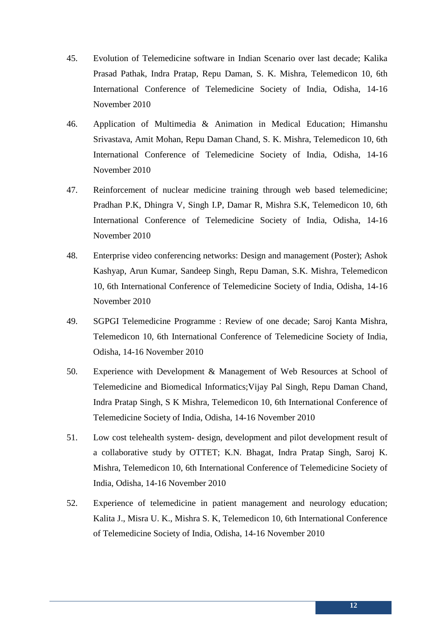- 45. Evolution of Telemedicine software in Indian Scenario over last decade; Kalika Prasad Pathak, Indra Pratap, Repu Daman, S. K. Mishra, Telemedicon 10, 6th International Conference of Telemedicine Society of India, Odisha, 14-16 November 2010
- 46. Application of Multimedia & Animation in Medical Education; Himanshu Srivastava, Amit Mohan, Repu Daman Chand, S. K. Mishra, Telemedicon 10, 6th International Conference of Telemedicine Society of India, Odisha, 14-16 November 2010
- 47. Reinforcement of nuclear medicine training through web based telemedicine; Pradhan P.K, Dhingra V, Singh I.P, Damar R, Mishra S.K, Telemedicon 10, 6th International Conference of Telemedicine Society of India, Odisha, 14-16 November 2010
- 48. Enterprise video conferencing networks: Design and management (Poster); Ashok Kashyap, Arun Kumar, Sandeep Singh, Repu Daman, S.K. Mishra, Telemedicon 10, 6th International Conference of Telemedicine Society of India, Odisha, 14-16 November 2010
- 49. SGPGI Telemedicine Programme : Review of one decade; Saroj Kanta Mishra, Telemedicon 10, 6th International Conference of Telemedicine Society of India, Odisha, 14-16 November 2010
- 50. Experience with Development & Management of Web Resources at School of Telemedicine and Biomedical Informatics;Vijay Pal Singh, Repu Daman Chand, Indra Pratap Singh, S K Mishra, Telemedicon 10, 6th International Conference of Telemedicine Society of India, Odisha, 14-16 November 2010
- 51. Low cost telehealth system- design, development and pilot development result of a collaborative study by OTTET; K.N. Bhagat, Indra Pratap Singh, Saroj K. Mishra, Telemedicon 10, 6th International Conference of Telemedicine Society of India, Odisha, 14-16 November 2010
- 52. Experience of telemedicine in patient management and neurology education; Kalita J., Misra U. K., Mishra S. K, Telemedicon 10, 6th International Conference of Telemedicine Society of India, Odisha, 14-16 November 2010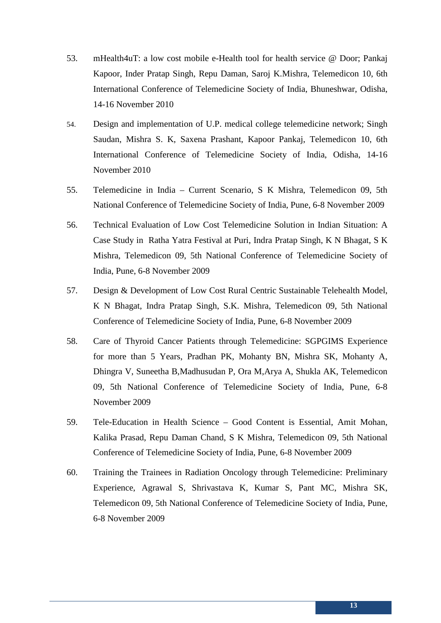- 53. mHealth4uT: a low cost mobile e-Health tool for health service @ Door; Pankaj Kapoor, Inder Pratap Singh, Repu Daman, Saroj K.Mishra, Telemedicon 10, 6th International Conference of Telemedicine Society of India, Bhuneshwar, Odisha, 14-16 November 2010
- 54. Design and implementation of U.P. medical college telemedicine network; Singh Saudan, Mishra S. K, Saxena Prashant, Kapoor Pankaj, Telemedicon 10, 6th International Conference of Telemedicine Society of India, Odisha, 14-16 November 2010
- 55. Telemedicine in India Current Scenario, S K Mishra, Telemedicon 09, 5th National Conference of Telemedicine Society of India, Pune, 6-8 November 2009
- 56. Technical Evaluation of Low Cost Telemedicine Solution in Indian Situation: A Case Study in Ratha Yatra Festival at Puri, Indra Pratap Singh, K N Bhagat, S K Mishra, Telemedicon 09, 5th National Conference of Telemedicine Society of India, Pune, 6-8 November 2009
- 57. Design & Development of Low Cost Rural Centric Sustainable Telehealth Model, K N Bhagat, Indra Pratap Singh, S.K. Mishra, Telemedicon 09, 5th National Conference of Telemedicine Society of India, Pune, 6-8 November 2009
- 58. Care of Thyroid Cancer Patients through Telemedicine: SGPGIMS Experience for more than 5 Years, Pradhan PK, Mohanty BN, Mishra SK, Mohanty A, Dhingra V, Suneetha B,Madhusudan P, Ora M,Arya A, Shukla AK, Telemedicon 09, 5th National Conference of Telemedicine Society of India, Pune, 6-8 November 2009
- 59. Tele-Education in Health Science Good Content is Essential, Amit Mohan, Kalika Prasad, Repu Daman Chand, S K Mishra, Telemedicon 09, 5th National Conference of Telemedicine Society of India, Pune, 6-8 November 2009
- 60. Training the Trainees in Radiation Oncology through Telemedicine: Preliminary Experience, Agrawal S, Shrivastava K, Kumar S, Pant MC, Mishra SK, Telemedicon 09, 5th National Conference of Telemedicine Society of India, Pune, 6-8 November 2009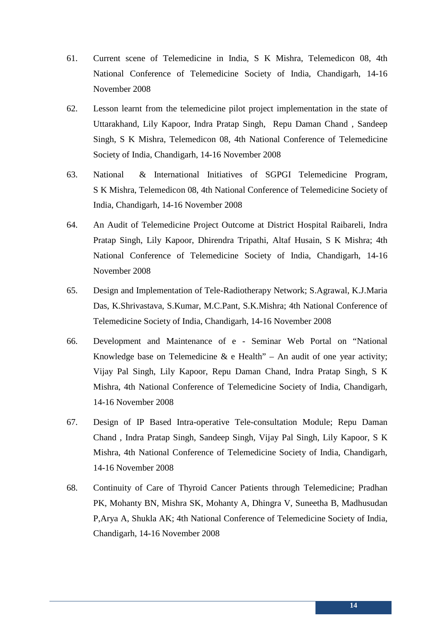- 61. Current scene of Telemedicine in India, S K Mishra, Telemedicon 08, 4th National Conference of Telemedicine Society of India, Chandigarh, 14-16 November 2008
- 62. Lesson learnt from the telemedicine pilot project implementation in the state of Uttarakhand, Lily Kapoor, Indra Pratap Singh, Repu Daman Chand , Sandeep Singh, S K Mishra, Telemedicon 08, 4th National Conference of Telemedicine Society of India, Chandigarh, 14-16 November 2008
- 63. National & International Initiatives of SGPGI Telemedicine Program, S K Mishra, Telemedicon 08, 4th National Conference of Telemedicine Society of India, Chandigarh, 14-16 November 2008
- 64. An Audit of Telemedicine Project Outcome at District Hospital Raibareli, Indra Pratap Singh, Lily Kapoor, Dhirendra Tripathi, Altaf Husain, S K Mishra; 4th National Conference of Telemedicine Society of India, Chandigarh, 14-16 November 2008
- 65. Design and Implementation of Tele-Radiotherapy Network; S.Agrawal, K.J.Maria Das, K.Shrivastava, S.Kumar, M.C.Pant, S.K.Mishra; 4th National Conference of Telemedicine Society of India, Chandigarh, 14-16 November 2008
- 66. Development and Maintenance of e Seminar Web Portal on "National Knowledge base on Telemedicine  $\&$  e Health" – An audit of one year activity; Vijay Pal Singh, Lily Kapoor, Repu Daman Chand, Indra Pratap Singh, S K Mishra, 4th National Conference of Telemedicine Society of India, Chandigarh, 14-16 November 2008
- 67. Design of IP Based Intra-operative Tele-consultation Module; Repu Daman Chand , Indra Pratap Singh, Sandeep Singh, Vijay Pal Singh, Lily Kapoor, S K Mishra, 4th National Conference of Telemedicine Society of India, Chandigarh, 14-16 November 2008
- 68. Continuity of Care of Thyroid Cancer Patients through Telemedicine; Pradhan PK, Mohanty BN, Mishra SK, Mohanty A, Dhingra V, Suneetha B, Madhusudan P,Arya A, Shukla AK; 4th National Conference of Telemedicine Society of India, Chandigarh, 14-16 November 2008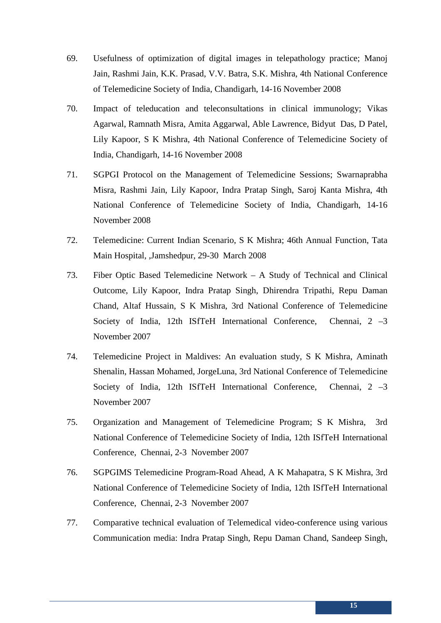- 69. Usefulness of optimization of digital images in telepathology practice; Manoj Jain, Rashmi Jain, K.K. Prasad, V.V. Batra, S.K. Mishra, 4th National Conference of Telemedicine Society of India, Chandigarh, 14-16 November 2008
- 70. Impact of teleducation and teleconsultations in clinical immunology; Vikas Agarwal, Ramnath Misra, Amita Aggarwal, Able Lawrence, Bidyut Das, D Patel, Lily Kapoor, S K Mishra, 4th National Conference of Telemedicine Society of India, Chandigarh, 14-16 November 2008
- 71. SGPGI Protocol on the Management of Telemedicine Sessions; Swarnaprabha Misra, Rashmi Jain, Lily Kapoor, Indra Pratap Singh, Saroj Kanta Mishra, 4th National Conference of Telemedicine Society of India, Chandigarh, 14-16 November 2008
- 72. Telemedicine: Current Indian Scenario, S K Mishra; 46th Annual Function, Tata Main Hospital, ,Jamshedpur, 29-30 March 2008
- 73. Fiber Optic Based Telemedicine Network A Study of Technical and Clinical Outcome, Lily Kapoor, Indra Pratap Singh, Dhirendra Tripathi, Repu Daman Chand, Altaf Hussain, S K Mishra, 3rd National Conference of Telemedicine Society of India, 12th ISfTeH International Conference, Chennai, 2 –3 November 2007
- 74. Telemedicine Project in Maldives: An evaluation study, S K Mishra, Aminath Shenalin, Hassan Mohamed, JorgeLuna, 3rd National Conference of Telemedicine Society of India, 12th ISfTeH International Conference, Chennai, 2 -3 November 2007
- 75. Organization and Management of Telemedicine Program; S K Mishra, 3rd National Conference of Telemedicine Society of India, 12th ISfTeH International Conference, Chennai, 2-3 November 2007
- 76. SGPGIMS Telemedicine Program-Road Ahead, A K Mahapatra, S K Mishra, 3rd National Conference of Telemedicine Society of India, 12th ISfTeH International Conference, Chennai, 2-3 November 2007
- 77. Comparative technical evaluation of Telemedical video-conference using various Communication media: Indra Pratap Singh, Repu Daman Chand, Sandeep Singh,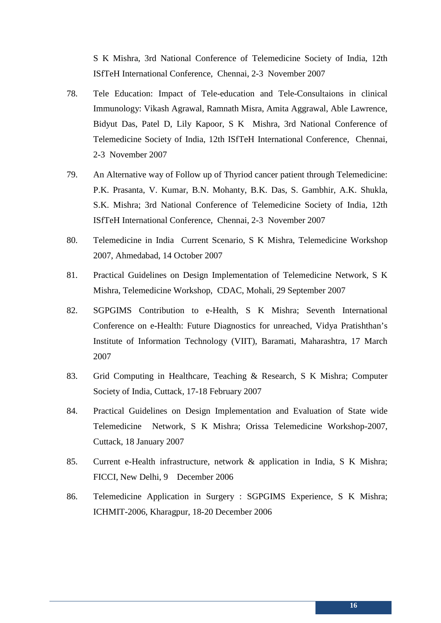S K Mishra, 3rd National Conference of Telemedicine Society of India, 12th ISfTeH International Conference, Chennai, 2-3 November 2007

- 78. Tele Education: Impact of Tele-education and Tele-Consultaions in clinical Immunology: Vikash Agrawal, Ramnath Misra, Amita Aggrawal, Able Lawrence, Bidyut Das, Patel D, Lily Kapoor, S K Mishra, 3rd National Conference of Telemedicine Society of India, 12th ISfTeH International Conference, Chennai, 2-3 November 2007
- 79. An Alternative way of Follow up of Thyriod cancer patient through Telemedicine: P.K. Prasanta, V. Kumar, B.N. Mohanty, B.K. Das, S. Gambhir, A.K. Shukla, S.K. Mishra; 3rd National Conference of Telemedicine Society of India, 12th ISfTeH International Conference, Chennai, 2-3 November 2007
- 80. Telemedicine in India Current Scenario, S K Mishra, Telemedicine Workshop 2007, Ahmedabad, 14 October 2007
- 81. Practical Guidelines on Design Implementation of Telemedicine Network, S K Mishra, Telemedicine Workshop, CDAC, Mohali, 29 September 2007
- 82. SGPGIMS Contribution to e-Health, S K Mishra; Seventh International Conference on e-Health: Future Diagnostics for unreached, Vidya Pratishthan's Institute of Information Technology (VIIT), Baramati, Maharashtra, 17 March 2007
- 83. Grid Computing in Healthcare, Teaching & Research, S K Mishra; Computer Society of India, Cuttack, 17-18 February 2007
- 84. Practical Guidelines on Design Implementation and Evaluation of State wide Telemedicine Network, S K Mishra; Orissa Telemedicine Workshop-2007, Cuttack, 18 January 2007
- 85. Current e-Health infrastructure, network & application in India, S K Mishra; FICCI, New Delhi, 9 December 2006
- 86. Telemedicine Application in Surgery : SGPGIMS Experience, S K Mishra; ICHMIT-2006, Kharagpur, 18-20 December 2006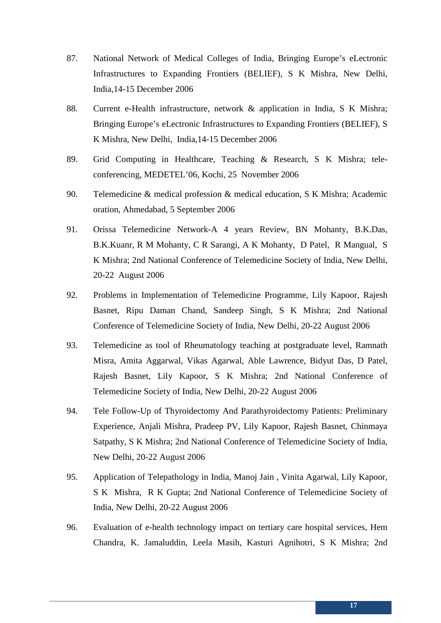- 87. National Network of Medical Colleges of India, Bringing Europe's eLectronic Infrastructures to Expanding Frontiers (BELIEF), S K Mishra, New Delhi, India,14-15 December 2006
- 88. Current e-Health infrastructure, network & application in India, S K Mishra; Bringing Europe's eLectronic Infrastructures to Expanding Frontiers (BELIEF), S K Mishra, New Delhi, India,14-15 December 2006
- 89. Grid Computing in Healthcare, Teaching & Research, S K Mishra; teleconferencing, MEDETEL'06, Kochi, 25 November 2006
- 90. Telemedicine & medical profession & medical education, S K Mishra; Academic oration, Ahmedabad, 5 September 2006
- 91. Orissa Telemedicine Network-A 4 years Review, BN Mohanty, B.K.Das, B.K.Kuanr, R M Mohanty, C R Sarangi, A K Mohanty, D Patel, R Mangual, S K Mishra; 2nd National Conference of Telemedicine Society of India, New Delhi, 20-22 August 2006
- 92. Problems in Implementation of Telemedicine Programme, Lily Kapoor, Rajesh Basnet, Ripu Daman Chand, Sandeep Singh, S K Mishra; 2nd National Conference of Telemedicine Society of India, New Delhi, 20-22 August 2006
- 93. Telemedicine as tool of Rheumatology teaching at postgraduate level, Ramnath Misra, Amita Aggarwal, Vikas Agarwal, Able Lawrence, Bidyut Das, D Patel, Rajesh Basnet, Lily Kapoor, S K Mishra; 2nd National Conference of Telemedicine Society of India, New Delhi, 20-22 August 2006
- 94. Tele Follow-Up of Thyroidectomy And Parathyroidectomy Patients: Preliminary Experience, Anjali Mishra, Pradeep PV, Lily Kapoor, Rajesh Basnet, Chinmaya Satpathy, S K Mishra; 2nd National Conference of Telemedicine Society of India, New Delhi, 20-22 August 2006
- 95. Application of Telepathology in India, Manoj Jain , Vinita Agarwal, Lily Kapoor, S K Mishra, R K Gupta; 2nd National Conference of Telemedicine Society of India, New Delhi, 20-22 August 2006
- 96. Evaluation of e-health technology impact on tertiary care hospital services, Hem Chandra, K. Jamaluddin, Leela Masih, Kasturi Agnihotri, S K Mishra; 2nd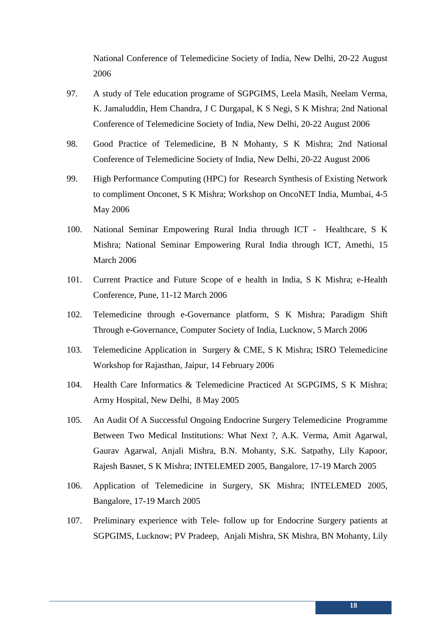National Conference of Telemedicine Society of India, New Delhi, 20-22 August 2006

- 97. A study of Tele education programe of SGPGIMS, Leela Masih, Neelam Verma, K. Jamaluddin, Hem Chandra, J C Durgapal, K S Negi, S K Mishra; 2nd National Conference of Telemedicine Society of India, New Delhi, 20-22 August 2006
- 98. Good Practice of Telemedicine, B N Mohanty, S K Mishra; 2nd National Conference of Telemedicine Society of India, New Delhi, 20-22 August 2006
- 99. High Performance Computing (HPC) for Research Synthesis of Existing Network to compliment Onconet, S K Mishra; Workshop on OncoNET India, Mumbai, 4-5 May 2006
- 100. National Seminar Empowering Rural India through ICT Healthcare, S K Mishra; National Seminar Empowering Rural India through ICT, Amethi, 15 March 2006
- 101. Current Practice and Future Scope of e health in India, S K Mishra; e-Health Conference, Pune, 11-12 March 2006
- 102. Telemedicine through e-Governance platform, S K Mishra; Paradigm Shift Through e-Governance, Computer Society of India, Lucknow, 5 March 2006
- 103. Telemedicine Application in Surgery & CME, S K Mishra; ISRO Telemedicine Workshop for Rajasthan, Jaipur, 14 February 2006
- 104. Health Care Informatics & Telemedicine Practiced At SGPGIMS, S K Mishra; Army Hospital, New Delhi, 8 May 2005
- 105. An Audit Of A Successful Ongoing Endocrine Surgery Telemedicine Programme Between Two Medical Institutions: What Next ?, A.K. Verma, Amit Agarwal, Gaurav Agarwal, Anjali Mishra, B.N. Mohanty, S.K. Satpathy, Lily Kapoor, Rajesh Basnet, S K Mishra; INTELEMED 2005, Bangalore, 17-19 March 2005
- 106. Application of Telemedicine in Surgery, SK Mishra; INTELEMED 2005, Bangalore, 17-19 March 2005
- 107. Preliminary experience with Tele- follow up for Endocrine Surgery patients at SGPGIMS, Lucknow; PV Pradeep, Anjali Mishra, SK Mishra, BN Mohanty, Lily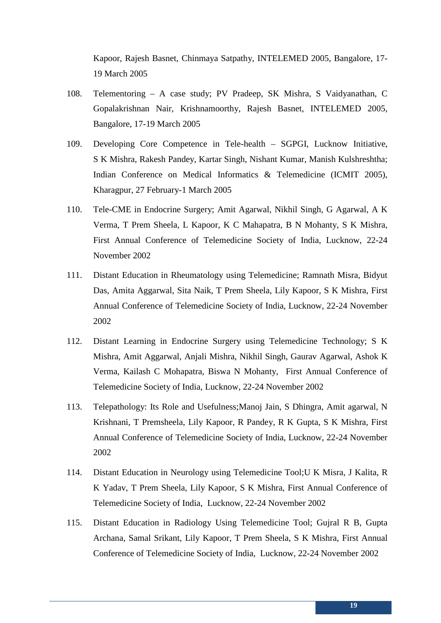Kapoor, Rajesh Basnet, Chinmaya Satpathy, INTELEMED 2005, Bangalore, 17- 19 March 2005

- 108. Telementoring A case study; PV Pradeep, SK Mishra, S Vaidyanathan, C Gopalakrishnan Nair, Krishnamoorthy, Rajesh Basnet, INTELEMED 2005, Bangalore, 17-19 March 2005
- 109. Developing Core Competence in Tele-health SGPGI, Lucknow Initiative, S K Mishra, Rakesh Pandey, Kartar Singh, Nishant Kumar, Manish Kulshreshtha; Indian Conference on Medical Informatics & Telemedicine (ICMIT 2005), Kharagpur, 27 February-1 March 2005
- 110. Tele-CME in Endocrine Surgery; Amit Agarwal, Nikhil Singh, G Agarwal, A K Verma, T Prem Sheela, L Kapoor, K C Mahapatra, B N Mohanty, S K Mishra, First Annual Conference of Telemedicine Society of India, Lucknow, 22-24 November 2002
- 111. Distant Education in Rheumatology using Telemedicine; Ramnath Misra, Bidyut Das, Amita Aggarwal, Sita Naik, T Prem Sheela, Lily Kapoor, S K Mishra, First Annual Conference of Telemedicine Society of India, Lucknow, 22-24 November 2002
- 112. Distant Learning in Endocrine Surgery using Telemedicine Technology; S K Mishra, Amit Aggarwal, Anjali Mishra, Nikhil Singh, Gaurav Agarwal, Ashok K Verma, Kailash C Mohapatra, Biswa N Mohanty, First Annual Conference of Telemedicine Society of India, Lucknow, 22-24 November 2002
- 113. Telepathology: Its Role and Usefulness;Manoj Jain, S Dhingra, Amit agarwal, N Krishnani, T Premsheela, Lily Kapoor, R Pandey, R K Gupta, S K Mishra, First Annual Conference of Telemedicine Society of India, Lucknow, 22-24 November 2002
- 114. Distant Education in Neurology using Telemedicine Tool;U K Misra, J Kalita, R K Yadav, T Prem Sheela, Lily Kapoor, S K Mishra, First Annual Conference of Telemedicine Society of India, Lucknow, 22-24 November 2002
- 115. Distant Education in Radiology Using Telemedicine Tool; Gujral R B, Gupta Archana, Samal Srikant, Lily Kapoor, T Prem Sheela, S K Mishra, First Annual Conference of Telemedicine Society of India, Lucknow, 22-24 November 2002